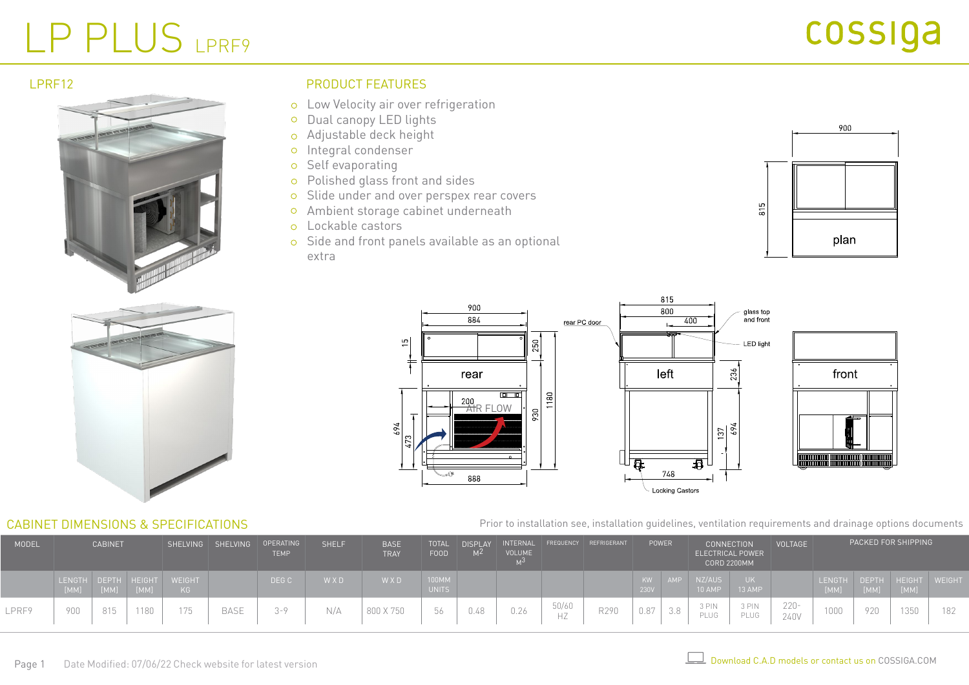# LP PLUS LPRF9

#### LPRF12



#### PRODUCT FEATURES

- Low Velocity air over refrigeration
- o Dual canopy LED lights
- Adjustable deck height  $\circ$
- o Integral condenser
- o Self evaporating
- Polished glass front and sides  $\circ$
- o Slide under and over perspex rear covers
- Ambient storage cabinet underneath
- Lockable castors
- o Side and front panels available as an optional extra





#### CABINET DIMENSIONS & SPECIFICATIONS



Prior to installation see, installation guidelines, ventilation requirements and drainage options documents

| MODEL | <b>CABINET</b>        |      |                      |                     |             |         |     |           | SHELVING SHELVING OPERATING | <b>TEMP</b> | <b>SHELF</b> | <b>BASE</b><br><b>TRAY</b> | <b>TOTAL</b><br><b>FOOD</b> | <b>DISPLAY</b> | INTERNAL<br>VOLUME |                  | FREQUENCY REFRIGERANT |                 | POWER                 | <b>CONNECTION</b>    | ELECTRICAL POWER<br><b>CORD 2200MM</b> | <b>VOLTAGE</b> |  | PACKED FOR SHIPPING |  |  |
|-------|-----------------------|------|----------------------|---------------------|-------------|---------|-----|-----------|-----------------------------|-------------|--------------|----------------------------|-----------------------------|----------------|--------------------|------------------|-----------------------|-----------------|-----------------------|----------------------|----------------------------------------|----------------|--|---------------------|--|--|
|       | <b>LENGTH</b><br>[MM] | [MM] | DEPTH HEIGHT<br>[MM] | <b>WEIGHT</b><br>KG |             | DEG C   | WXD | WXD       | 100MM<br><b>UNITS</b>       |             |              |                            |                             | KW<br>230V     | <b>AMP</b>         | NZ/AUS<br>10 AMP | 13 AMP                |                 | <b>LENGTH</b><br>[MM] | DEPTH HEIGHT<br>[MM] | [MM]                                   | WEIGHT         |  |                     |  |  |
| LPRF9 | 900                   | 815  |                      | 75                  | <b>BASE</b> | $3 - 9$ | N/A | 800 X 750 | 56                          | U.4ŏ        | 0.26         | 50/60<br>HZ                | R290                        | 0.87           | J.O                | 3 PIN<br>PLUG    | 3 PIN<br>PLUG         | $220 -$<br>240V | 1000                  | 920                  | 1350                                   | 182            |  |                     |  |  |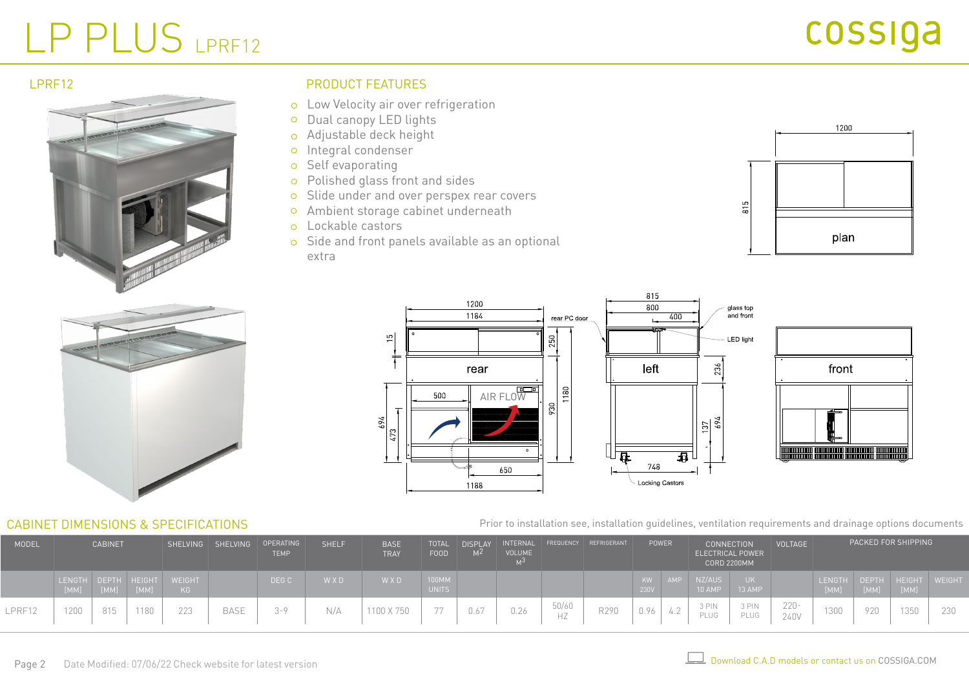# LP PLUS LPRF12



### LPRF12 PRODUCT FEATURES

- Low Velocity air over refrigeration
- o Dual canopy LED lights
- Adjustable deck height
- o Integral condenser
- o Self evaporating
- Polished glass front and sides
- o Slide under and over perspex rear covers
- Ambient storage cabinet underneath
- Lockable castors
- o Side and front panels available as an optional extra





#### CABINET DIMENSIONS & SPECIFICATIONS





Prior to installation see, installation guidelines, ventilation requirements and drainage options documents

| MODEL  | <b>CABINET</b> |      |                      |                     |             |         |       |            | SHELVING SHELVING OPERATING | <b>TEMP</b> | <b>SHELF</b> | <b>BASE</b><br><b>TRAY</b> | <b>TOTAL</b><br><b>FOOD</b> | <b>DISPLAY</b><br>MZ. | INTERNAL<br><b>VOLUME</b> |                  | FREQUENCY REFRIGERANT |                 | POWER          | <b>CONNECTION</b><br><b>ELECTRICAL POWER</b> | <b>CORD 2200MM</b>   | <b>VOLTAGE</b> |  | PACKED FOR SHIPPING |  |  |
|--------|----------------|------|----------------------|---------------------|-------------|---------|-------|------------|-----------------------------|-------------|--------------|----------------------------|-----------------------------|-----------------------|---------------------------|------------------|-----------------------|-----------------|----------------|----------------------------------------------|----------------------|----------------|--|---------------------|--|--|
|        | LENGTH<br>[MM] | [MM] | DEPTH HEIGHT<br>[MM] | <b>WEIGHT</b><br>KG |             | DEG C   | W X D | WXD        | 100MM<br><b>UNITS</b>       |             |              |                            |                             | KW.<br>230V           | <b>AMP</b>                | NZ/AUS<br>10 AMP | 13 AMP                |                 | LENGTH<br>[MM] | [MM]                                         | DEPTH HEIGHT<br>[MM] | <b>WEIGH</b>   |  |                     |  |  |
| LPRF12 | 1200           | 815  |                      | 223                 | <b>BASE</b> | $2 - Q$ | N/A   | 1100 X 750 | $\Box$ $\Box$               |             | 0.26         | 50/60<br>HZ                | R290                        | 0.96                  | 4.4                       | 3 PIN<br>PLUG    | 3 PIN<br>PLUG         | $220 -$<br>240V | 1000<br>13UU   | 920                                          | 1350                 | 230            |  |                     |  |  |